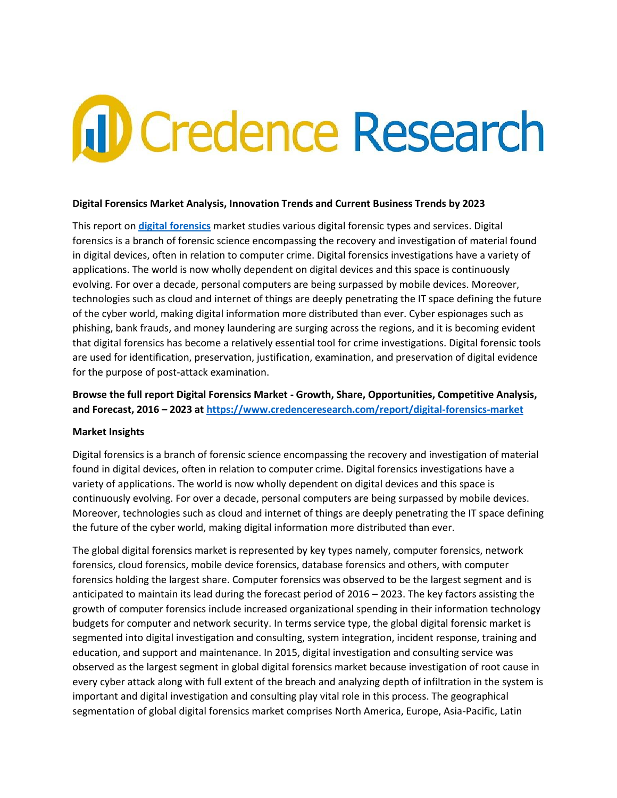# **ID Credence Research**

#### **Digital Forensics Market Analysis, Innovation Trends and Current Business Trends by 2023**

This report on **[digital forensics](https://www.credenceresearch.com/report/digital-forensics-market)** market studies various digital forensic types and services. Digital forensics is a branch of forensic science encompassing the recovery and investigation of material found in digital devices, often in relation to computer crime. Digital forensics investigations have a variety of applications. The world is now wholly dependent on digital devices and this space is continuously evolving. For over a decade, personal computers are being surpassed by mobile devices. Moreover, technologies such as cloud and internet of things are deeply penetrating the IT space defining the future of the cyber world, making digital information more distributed than ever. Cyber espionages such as phishing, bank frauds, and money laundering are surging across the regions, and it is becoming evident that digital forensics has become a relatively essential tool for crime investigations. Digital forensic tools are used for identification, preservation, justification, examination, and preservation of digital evidence for the purpose of post-attack examination.

# **Browse the full report Digital Forensics Market - Growth, Share, Opportunities, Competitive Analysis, and Forecast, 2016 – 2023 at <https://www.credenceresearch.com/report/digital-forensics-market>**

## **Market Insights**

Digital forensics is a branch of forensic science encompassing the recovery and investigation of material found in digital devices, often in relation to computer crime. Digital forensics investigations have a variety of applications. The world is now wholly dependent on digital devices and this space is continuously evolving. For over a decade, personal computers are being surpassed by mobile devices. Moreover, technologies such as cloud and internet of things are deeply penetrating the IT space defining the future of the cyber world, making digital information more distributed than ever.

The global digital forensics market is represented by key types namely, computer forensics, network forensics, cloud forensics, mobile device forensics, database forensics and others, with computer forensics holding the largest share. Computer forensics was observed to be the largest segment and is anticipated to maintain its lead during the forecast period of 2016 – 2023. The key factors assisting the growth of computer forensics include increased organizational spending in their information technology budgets for computer and network security. In terms service type, the global digital forensic market is segmented into digital investigation and consulting, system integration, incident response, training and education, and support and maintenance. In 2015, digital investigation and consulting service was observed as the largest segment in global digital forensics market because investigation of root cause in every cyber attack along with full extent of the breach and analyzing depth of infiltration in the system is important and digital investigation and consulting play vital role in this process. The geographical segmentation of global digital forensics market comprises North America, Europe, Asia-Pacific, Latin